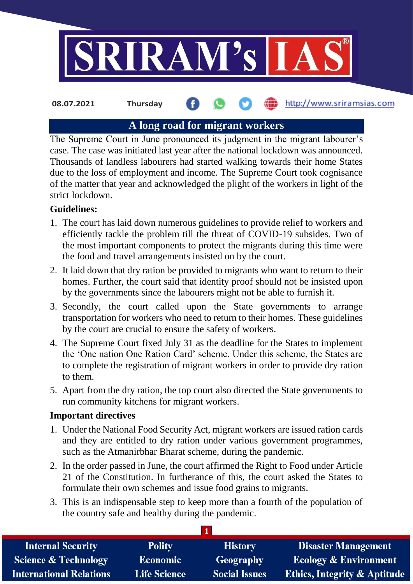

http://www.sriramsias.com **08.07.2021 Thursday**

# **A long road for migrant workers**

The Supreme Court in June pronounced its judgment in the migrant labourer's case. The case was initiated last year after the national lockdown was announced. Thousands of landless labourers had started walking towards their home States due to the loss of employment and income. The Supreme Court took cognisance of the matter that year and acknowledged the plight of the workers in light of the strict lockdown.

# **Guidelines:**

- 1. The court has laid down numerous guidelines to provide relief to workers and efficiently tackle the problem till the threat of COVID-19 subsides. Two of the most important components to protect the migrants during this time were the food and travel arrangements insisted on by the court.
- 2. It laid down that dry ration be provided to migrants who want to return to their homes. Further, the court said that identity proof should not be insisted upon by the governments since the labourers might not be able to furnish it.
- 3. Secondly, the court called upon the State governments to arrange transportation for workers who need to return to their homes. These guidelines by the court are crucial to ensure the safety of workers.
- 4. The Supreme Court fixed July 31 as the deadline for the States to implement the 'One nation One Ration Card' scheme. Under this scheme, the States are to complete the registration of migrant workers in order to provide dry ration to them.
- 5. Apart from the dry ration, the top court also directed the State governments to run community kitchens for migrant workers.

# **Important directives**

- 1. Under the National Food Security Act, migrant workers are issued ration cards and they are entitled to dry ration under various government programmes, such as the Atmanirbhar Bharat scheme, during the pandemic.
- 2. In the order passed in June, the court affirmed the Right to Food under Article 21 of the Constitution. In furtherance of this, the court asked the States to formulate their own schemes and issue food grains to migrants.
- 3. This is an indispensable step to keep more than a fourth of the population of the country safe and healthy during the pandemic.

**1**

| <b>Internal Security</b>        | <b>Polity</b>       | <b>History</b>       | <b>Disaster Management</b>              |
|---------------------------------|---------------------|----------------------|-----------------------------------------|
| <b>Science &amp; Technology</b> | <b>Economic</b>     | Geography            | <b>Ecology &amp; Environment</b>        |
| <b>International Relations</b>  | <b>Life Science</b> | <b>Social Issues</b> | <b>Ethics, Integrity &amp; Aptitude</b> |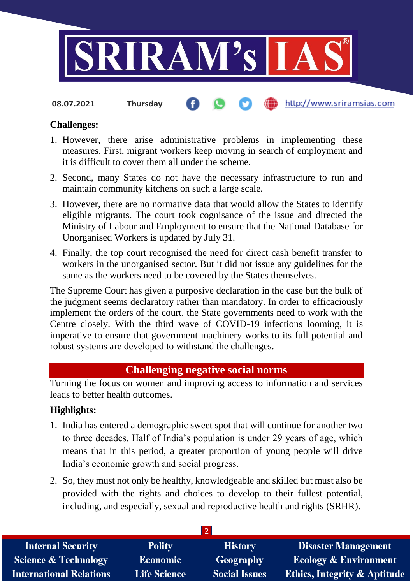

**08.07.2021 Thursday**

# http://www.sriramsias.com

# **Challenges:**

- 1. However, there arise administrative problems in implementing these measures. First, migrant workers keep moving in search of employment and it is difficult to cover them all under the scheme.
- 2. Second, many States do not have the necessary infrastructure to run and maintain community kitchens on such a large scale.
- 3. However, there are no normative data that would allow the States to identify eligible migrants. The court took cognisance of the issue and directed the Ministry of Labour and Employment to ensure that the National Database for Unorganised Workers is updated by July 31.
- 4. Finally, the top court recognised the need for direct cash benefit transfer to workers in the unorganised sector. But it did not issue any guidelines for the same as the workers need to be covered by the States themselves.

The Supreme Court has given a purposive declaration in the case but the bulk of the judgment seems declaratory rather than mandatory. In order to efficaciously implement the orders of the court, the State governments need to work with the Centre closely. With the third wave of COVID-19 infections looming, it is imperative to ensure that government machinery works to its full potential and robust systems are developed to withstand the challenges.

# **Challenging negative social norms**

Turning the focus on women and improving access to information and services leads to better health outcomes.

# **Highlights:**

- 1. India has entered a demographic sweet spot that will continue for another two to three decades. Half of India's population is under 29 years of age, which means that in this period, a greater proportion of young people will drive India's economic growth and social progress.
- 2. So, they must not only be healthy, knowledgeable and skilled but must also be provided with the rights and choices to develop to their fullest potential, including, and especially, sexual and reproductive health and rights (SRHR).

| <b>Internal Security</b>        | <b>Polity</b>       | <b>History</b>       | <b>Disaster Management</b>              |
|---------------------------------|---------------------|----------------------|-----------------------------------------|
| <b>Science &amp; Technology</b> | Economic            | Geography            | <b>Ecology &amp; Environment</b>        |
| <b>International Relations</b>  | <b>Life Science</b> | <b>Social Issues</b> | <b>Ethics, Integrity &amp; Aptitude</b> |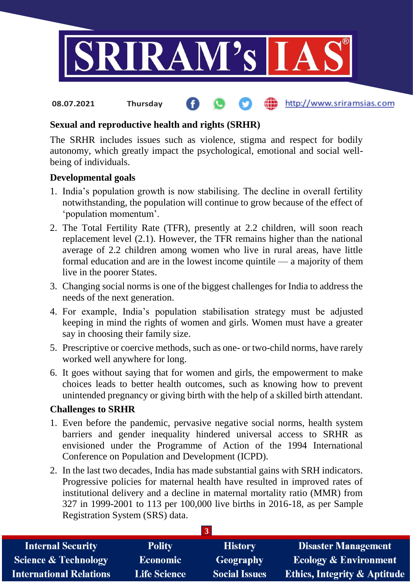

#### **fin** http://www.sriramsias.com **08.07.2021 Thursday**

# **Sexual and reproductive health and rights (SRHR)**

The SRHR includes issues such as violence, stigma and respect for bodily autonomy, which greatly impact the psychological, emotional and social wellbeing of individuals.

# **Developmental goals**

- 1. India's population growth is now stabilising. The decline in overall fertility notwithstanding, the population will continue to grow because of the effect of 'population momentum'.
- 2. The Total Fertility Rate (TFR), presently at 2.2 children, will soon reach replacement level (2.1). However, the TFR remains higher than the national average of 2.2 children among women who live in rural areas, have little formal education and are in the lowest income quintile — a majority of them live in the poorer States.
- 3. Changing social norms is one of the biggest challenges for India to address the needs of the next generation.
- 4. For example, India's population stabilisation strategy must be adjusted keeping in mind the rights of women and girls. Women must have a greater say in choosing their family size.
- 5. Prescriptive or coercive methods, such as one- or two-child norms, have rarely worked well anywhere for long.
- 6. It goes without saying that for women and girls, the empowerment to make choices leads to better health outcomes, such as knowing how to prevent unintended pregnancy or giving birth with the help of a skilled birth attendant.

# **Challenges to SRHR**

- 1. Even before the pandemic, pervasive negative social norms, health system barriers and gender inequality hindered universal access to SRHR as envisioned under the Programme of Action of the 1994 International Conference on Population and Development (ICPD).
- 2. In the last two decades, India has made substantial gains with SRH indicators. Progressive policies for maternal health have resulted in improved rates of institutional delivery and a decline in maternal mortality ratio (MMR) from 327 in 1999-2001 to 113 per 100,000 live births in 2016-18, as per Sample Registration System (SRS) data.

| <b>Internal Security</b>        | <b>Polity</b>       | <b>History</b>       | <b>Disaster Management</b>              |
|---------------------------------|---------------------|----------------------|-----------------------------------------|
| <b>Science &amp; Technology</b> | <b>Economic</b>     | Geography            | <b>Ecology &amp; Environment</b>        |
| <b>International Relations</b>  | <b>Life Science</b> | <b>Social Issues</b> | <b>Ethics, Integrity &amp; Aptitude</b> |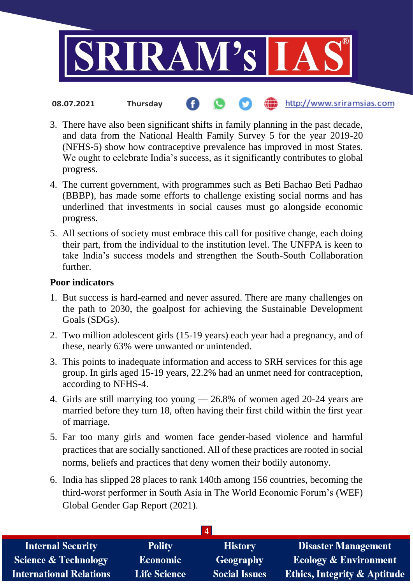

- the http://www.sriramsias.com **08.07.2021 Thursday**
- 3. There have also been significant shifts in family planning in the past decade, and data from the National Health Family Survey 5 for the year 2019-20 (NFHS-5) show how contraceptive prevalence has improved in most States. We ought to celebrate India's success, as it significantly contributes to global progress.
- 4. The current government, with programmes such as Beti Bachao Beti Padhao (BBBP), has made some efforts to challenge existing social norms and has underlined that investments in social causes must go alongside economic progress.
- 5. All sections of society must embrace this call for positive change, each doing their part, from the individual to the institution level. The UNFPA is keen to take India's success models and strengthen the South-South Collaboration further.

#### **Poor indicators**

- 1. But success is hard-earned and never assured. There are many challenges on the path to 2030, the goalpost for achieving the Sustainable Development Goals (SDGs).
- 2. Two million adolescent girls (15-19 years) each year had a pregnancy, and of these, nearly 63% were unwanted or unintended.
- 3. This points to inadequate information and access to SRH services for this age group. In girls aged 15-19 years, 22.2% had an unmet need for contraception, according to NFHS-4.
- 4. Girls are still marrying too young 26.8% of women aged 20-24 years are married before they turn 18, often having their first child within the first year of marriage.
- 5. Far too many girls and women face gender-based violence and harmful practices that are socially sanctioned. All of these practices are rooted in social norms, beliefs and practices that deny women their bodily autonomy.
- 6. India has slipped 28 places to rank 140th among 156 countries, becoming the third-worst performer in South Asia in The World Economic Forum's (WEF) Global Gender Gap Report (2021).

| <b>Polity</b>       | <b>History</b>       | <b>Disaster Management</b>              |
|---------------------|----------------------|-----------------------------------------|
| <b>Economic</b>     | Geography            | <b>Ecology &amp; Environment</b>        |
| <b>Life Science</b> | <b>Social Issues</b> | <b>Ethics, Integrity &amp; Aptitude</b> |
|                     |                      |                                         |